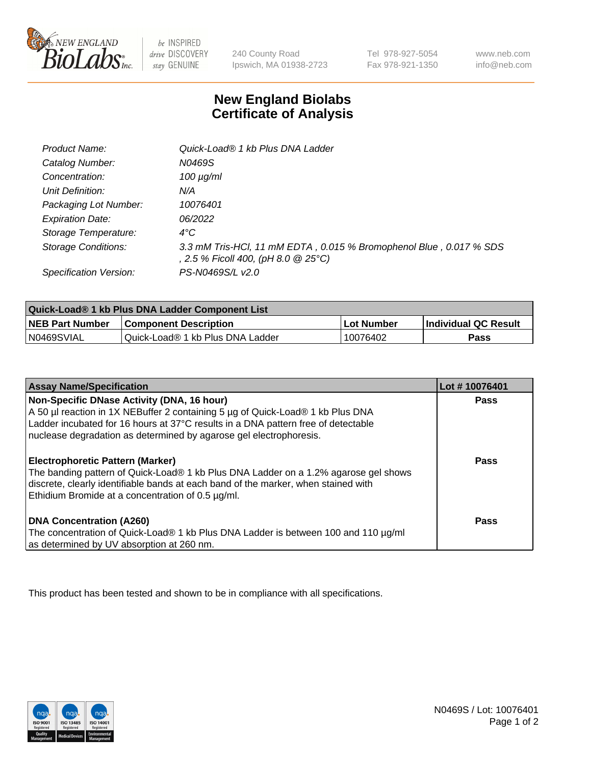

 $be$  INSPIRED drive DISCOVERY stay GENUINE

240 County Road Ipswich, MA 01938-2723 Tel 978-927-5054 Fax 978-921-1350 www.neb.com info@neb.com

## **New England Biolabs Certificate of Analysis**

| Product Name:              | Quick-Load® 1 kb Plus DNA Ladder                                                                          |
|----------------------------|-----------------------------------------------------------------------------------------------------------|
| Catalog Number:            | N0469S                                                                                                    |
| Concentration:             | $100 \mu g/ml$                                                                                            |
| Unit Definition:           | N/A                                                                                                       |
| Packaging Lot Number:      | 10076401                                                                                                  |
| <b>Expiration Date:</b>    | 06/2022                                                                                                   |
| Storage Temperature:       | $4^{\circ}$ C                                                                                             |
| <b>Storage Conditions:</b> | 3.3 mM Tris-HCl, 11 mM EDTA, 0.015 % Bromophenol Blue, 0.017 % SDS<br>, 2.5 % Ficoll 400, (pH 8.0 @ 25°C) |
| Specification Version:     | PS-N0469S/L v2.0                                                                                          |

| Quick-Load® 1 kb Plus DNA Ladder Component List |                                  |            |                             |  |
|-------------------------------------------------|----------------------------------|------------|-----------------------------|--|
| <b>NEB Part Number</b>                          | <b>Component Description</b>     | Lot Number | <b>Individual QC Result</b> |  |
| N0469SVIAL                                      | Quick-Load® 1 kb Plus DNA Ladder | 10076402   | Pass                        |  |

| <b>Assay Name/Specification</b>                                                                                                                                                                                                                                                         | Lot #10076401 |
|-----------------------------------------------------------------------------------------------------------------------------------------------------------------------------------------------------------------------------------------------------------------------------------------|---------------|
| Non-Specific DNase Activity (DNA, 16 hour)<br>A 50 µl reaction in 1X NEBuffer 2 containing 5 µg of Quick-Load® 1 kb Plus DNA<br>Ladder incubated for 16 hours at 37°C results in a DNA pattern free of detectable<br>nuclease degradation as determined by agarose gel electrophoresis. | <b>Pass</b>   |
| <b>Electrophoretic Pattern (Marker)</b><br>The banding pattern of Quick-Load® 1 kb Plus DNA Ladder on a 1.2% agarose gel shows<br>discrete, clearly identifiable bands at each band of the marker, when stained with<br>Ethidium Bromide at a concentration of 0.5 µg/ml.               | Pass          |
| DNA Concentration (A260)<br>The concentration of Quick-Load® 1 kb Plus DNA Ladder is between 100 and 110 µg/ml<br>as determined by UV absorption at 260 nm.                                                                                                                             | Pass          |

This product has been tested and shown to be in compliance with all specifications.